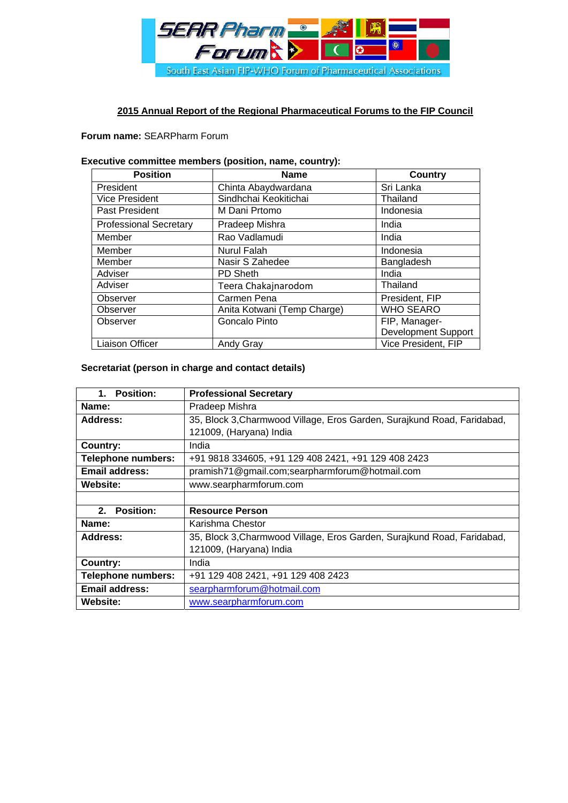

## **2015 Annual Report of the Regional Pharmaceutical Forums to the FIP Council**

### **Forum name:** SEARPharm Forum

#### **Executive committee members (position, name, country):**

| <b>Position</b>               | <b>Name</b>                 | <b>Country</b>             |
|-------------------------------|-----------------------------|----------------------------|
| President                     | Chinta Abaydwardana         | Sri Lanka                  |
| <b>Vice President</b>         | Sindhchai Keokitichai       | Thailand                   |
| Past President                | M Dani Prtomo               | Indonesia                  |
| <b>Professional Secretary</b> | Pradeep Mishra              | India                      |
| Member                        | Rao Vadlamudi               | India                      |
| Member                        | <b>Nurul Falah</b>          | Indonesia                  |
| Member                        | Nasir S Zahedee             | Bangladesh                 |
| Adviser                       | PD Sheth                    | India                      |
| Adviser                       | Teera Chakajnarodom         | Thailand                   |
| Observer                      | Carmen Pena                 | President, FIP             |
| Observer                      | Anita Kotwani (Temp Charge) | <b>WHO SEARO</b>           |
| Observer                      | Goncalo Pinto               | FIP, Manager-              |
|                               |                             | <b>Development Support</b> |
| <b>Liaison Officer</b>        | <b>Andy Gray</b>            | Vice President, FIP        |

## **Secretariat (person in charge and contact details)**

| <b>Position:</b><br>$1_{-}$ | <b>Professional Secretary</b>                                           |  |
|-----------------------------|-------------------------------------------------------------------------|--|
| Name:                       | Pradeep Mishra                                                          |  |
| Address:                    | 35, Block 3, Charmwood Village, Eros Garden, Surajkund Road, Faridabad, |  |
|                             | 121009, (Haryana) India                                                 |  |
| Country:                    | India                                                                   |  |
| <b>Telephone numbers:</b>   | +91 9818 334605, +91 129 408 2421, +91 129 408 2423                     |  |
| <b>Email address:</b>       | pramish71@gmail.com;searpharmforum@hotmail.com                          |  |
| <b>Website:</b>             | www.searpharmforum.com                                                  |  |
|                             |                                                                         |  |
| 2. Position:                | <b>Resource Person</b>                                                  |  |
| Name:                       | Karishma Chestor                                                        |  |
| Address:                    | 35, Block 3, Charmwood Village, Eros Garden, Surajkund Road, Faridabad, |  |
|                             | 121009, (Haryana) India                                                 |  |
| Country:                    | India                                                                   |  |
| <b>Telephone numbers:</b>   | +91 129 408 2421, +91 129 408 2423                                      |  |
| <b>Email address:</b>       | searpharmforum@hotmail.com                                              |  |
| <b>Website:</b>             | www.searpharmforum.com                                                  |  |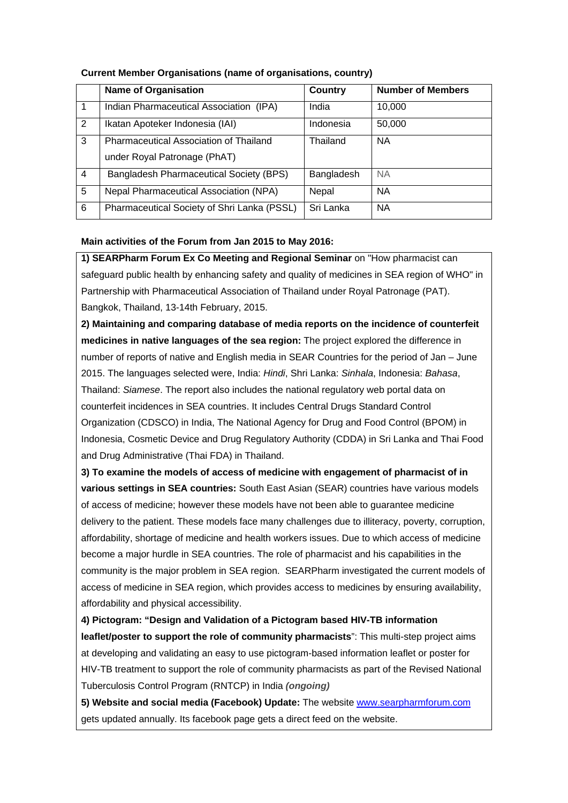|   | <b>Name of Organisation</b>                   | Country    | <b>Number of Members</b> |
|---|-----------------------------------------------|------------|--------------------------|
|   | Indian Pharmaceutical Association (IPA)       | India      | 10,000                   |
| 2 | Ikatan Apoteker Indonesia (IAI)               | Indonesia  | 50,000                   |
| 3 | <b>Pharmaceutical Association of Thailand</b> | Thailand   | <b>NA</b>                |
|   | under Royal Patronage (PhAT)                  |            |                          |
| 4 | Bangladesh Pharmaceutical Society (BPS)       | Bangladesh | <b>NA</b>                |
| 5 | Nepal Pharmaceutical Association (NPA)        | Nepal      | <b>NA</b>                |
| 6 | Pharmaceutical Society of Shri Lanka (PSSL)   | Sri Lanka  | <b>NA</b>                |

## **Current Member Organisations (name of organisations, country)**

#### **Main activities of the Forum from Jan 2015 to May 2016:**

**1) SEARPharm Forum Ex Co Meeting and Regional Seminar** on "How pharmacist can safeguard public health by enhancing safety and quality of medicines in SEA region of WHO" in Partnership with Pharmaceutical Association of Thailand under Royal Patronage (PAT). Bangkok, Thailand, 13-14th February, 2015.

**2) Maintaining and comparing database of media reports on the incidence of counterfeit medicines in native languages of the sea region:** The project explored the difference in number of reports of native and English media in SEAR Countries for the period of Jan – June 2015. The languages selected were, India: *Hindi*, Shri Lanka: *Sinhala*, Indonesia: *Bahasa*, Thailand: *Siamese*. The report also includes the national regulatory web portal data on counterfeit incidences in SEA countries. It includes Central Drugs Standard Control Organization (CDSCO) in India, The National Agency for Drug and Food Control (BPOM) in Indonesia, Cosmetic Device and Drug Regulatory Authority (CDDA) in Sri Lanka and Thai Food and Drug Administrative (Thai FDA) in Thailand.

**3) To examine the models of access of medicine with engagement of pharmacist of in various settings in SEA countries:** South East Asian (SEAR) countries have various models of access of medicine; however these models have not been able to guarantee medicine delivery to the patient. These models face many challenges due to illiteracy, poverty, corruption, affordability, shortage of medicine and health workers issues. Due to which access of medicine become a major hurdle in SEA countries. The role of pharmacist and his capabilities in the community is the major problem in SEA region. SEARPharm investigated the current models of access of medicine in SEA region, which provides access to medicines by ensuring availability, affordability and physical accessibility.

**4) Pictogram: "Design and Validation of a Pictogram based HIV-TB information leaflet/poster to support the role of community pharmacists**": This multi-step project aims at developing and validating an easy to use pictogram-based information leaflet or poster for HIV-TB treatment to support the role of community pharmacists as part of the Revised National Tuberculosis Control Program (RNTCP) in India *(ongoing)*

**5) Website and social media (Facebook) Update:** The website www.searpharmforum.com gets updated annually. Its facebook page gets a direct feed on the website.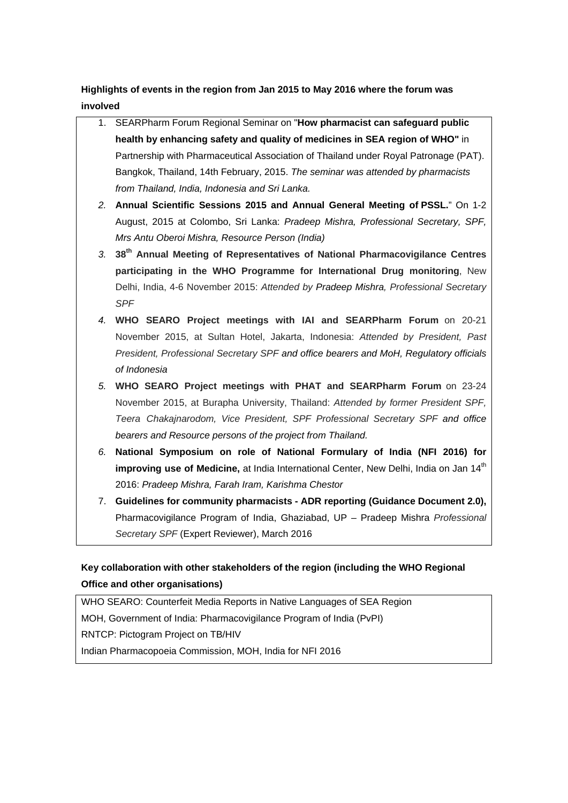**Highlights of events in the region from Jan 2015 to May 2016 where the forum was involved** 

- 1. SEARPharm Forum Regional Seminar on "**How pharmacist can safeguard public health by enhancing safety and quality of medicines in SEA region of WHO"** in Partnership with Pharmaceutical Association of Thailand under Royal Patronage (PAT). Bangkok, Thailand, 14th February, 2015. *The seminar was attended by pharmacists from Thailand, India, Indonesia and Sri Lanka.*
- *2.* **Annual Scientific Sessions 2015 and Annual General Meeting of PSSL.**" On 1-2 August, 2015 at Colombo, Sri Lanka: *Pradeep Mishra, Professional Secretary, SPF, Mrs Antu Oberoi Mishra, Resource Person (India)*
- *3.* **38th Annual Meeting of Representatives of National Pharmacovigilance Centres participating in the WHO Programme for International Drug monitoring**, New Delhi, India, 4-6 November 2015: *Attended by Pradeep Mishra, Professional Secretary SPF*
- *4.* **WHO SEARO Project meetings with IAI and SEARPharm Forum** on 20-21 November 2015, at Sultan Hotel, Jakarta, Indonesia: *Attended by President, Past President, Professional Secretary SPF and office bearers and MoH, Regulatory officials of Indonesia*
- *5.* **WHO SEARO Project meetings with PHAT and SEARPharm Forum** on 23-24 November 2015, at Burapha University, Thailand: *Attended by former President SPF, Teera Chakajnarodom, Vice President, SPF Professional Secretary SPF and office bearers and Resource persons of the project from Thailand.*
- *6.* **National Symposium on role of National Formulary of India (NFI 2016) for**  improving use of Medicine, at India International Center, New Delhi, India on Jan 14<sup>th</sup> 2016: *Pradeep Mishra, Farah Iram, Karishma Chestor*
- 7. **Guidelines for community pharmacists ADR reporting (Guidance Document 2.0),**  Pharmacovigilance Program of India, Ghaziabad, UP – Pradeep Mishra *Professional Secretary SPF* (Expert Reviewer), March 2016

# **Key collaboration with other stakeholders of the region (including the WHO Regional Office and other organisations)**

WHO SEARO: Counterfeit Media Reports in Native Languages of SEA Region MOH, Government of India: Pharmacovigilance Program of India (PvPI) RNTCP: Pictogram Project on TB/HIV Indian Pharmacopoeia Commission, MOH, India for NFI 2016